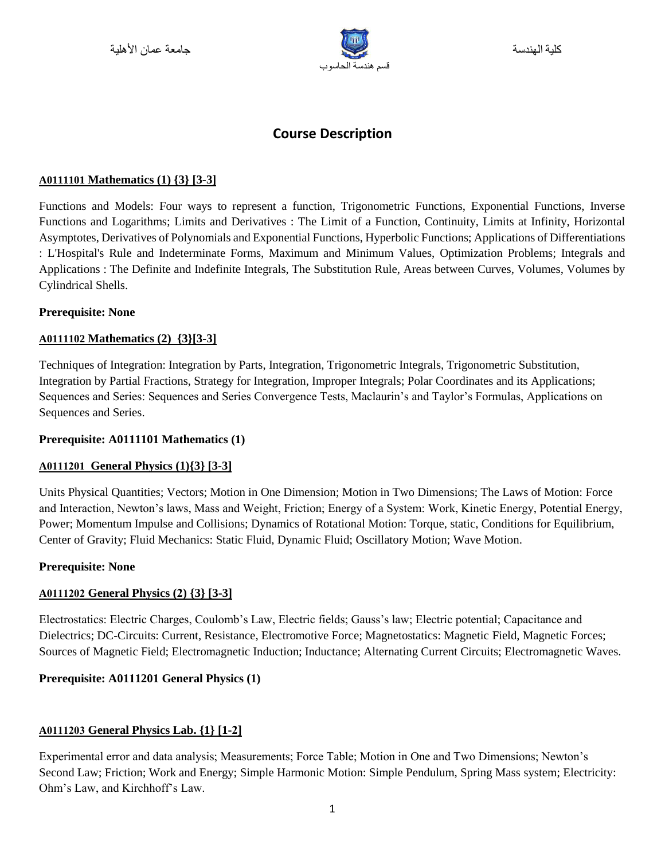

# **Course Description**

### **A0111101 Mathematics (1) {3} [3-3]**

Functions and Models: Four ways to represent a function, Trigonometric Functions, Exponential Functions, Inverse Functions and Logarithms; Limits and Derivatives : The Limit of a Function, Continuity, Limits at Infinity, Horizontal Asymptotes, Derivatives of Polynomials and Exponential Functions, Hyperbolic Functions; Applications of Differentiations : L'Hospital's Rule and Indeterminate Forms, Maximum and Minimum Values, Optimization Problems; Integrals and Applications : The Definite and Indefinite Integrals, The Substitution Rule, Areas between Curves, Volumes, Volumes by Cylindrical Shells.

#### **Prerequisite: None**

### **A0111102 Mathematics (2) {3}[3-3]**

Techniques of Integration: Integration by Parts, Integration, Trigonometric Integrals, Trigonometric Substitution, Integration by Partial Fractions, Strategy for Integration, Improper Integrals; Polar Coordinates and its Applications; Sequences and Series: Sequences and Series Convergence Tests, Maclaurin's and Taylor's Formulas, Applications on Sequences and Series.

#### **Prerequisite: A0111101 Mathematics (1)**

# **A0111201 General Physics (1){3} [3-3]**

Units Physical Quantities; Vectors; Motion in One Dimension; Motion in Two Dimensions; The Laws of Motion: Force and Interaction, Newton's laws, Mass and Weight, Friction; Energy of a System: Work, Kinetic Energy, Potential Energy, Power; Momentum Impulse and Collisions; Dynamics of Rotational Motion: Torque, static, Conditions for Equilibrium, Center of Gravity; Fluid Mechanics: Static Fluid, Dynamic Fluid; Oscillatory Motion; Wave Motion.

#### **Prerequisite: None**

# **A0111202 General Physics (2) {3} [3-3]**

Electrostatics: Electric Charges, Coulomb's Law, Electric fields; Gauss's law; Electric potential; Capacitance and Dielectrics; DC-Circuits: Current, Resistance, Electromotive Force; Magnetostatics: Magnetic Field, Magnetic Forces; Sources of Magnetic Field; Electromagnetic Induction; Inductance; Alternating Current Circuits; Electromagnetic Waves.

# **Prerequisite: A0111201 General Physics (1)**

# **A0111203 General Physics Lab. {1} [1-2]**

Experimental error and data analysis; Measurements; Force Table; Motion in One and Two Dimensions; Newton's Second Law; Friction; Work and Energy; Simple Harmonic Motion: Simple Pendulum, Spring Mass system; Electricity: Ohm's Law, and Kirchhoff's Law.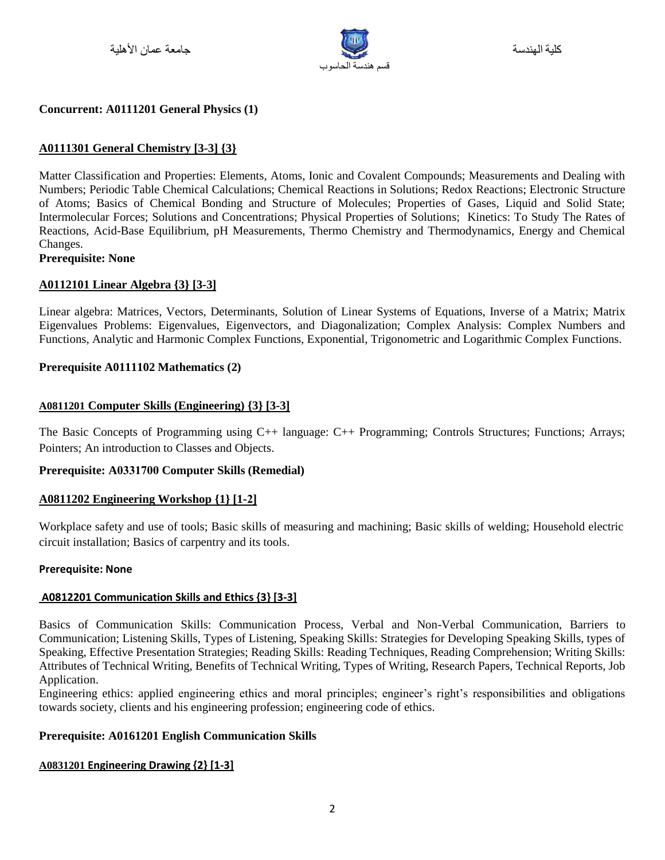

### **Concurrent: A0111201 General Physics (1)**

### **A0111301 General Chemistry [3-3] {3}**

Matter Classification and Properties: Elements, Atoms, Ionic and Covalent Compounds; Measurements and Dealing with Numbers; Periodic Table Chemical Calculations; Chemical Reactions in Solutions; Redox Reactions; Electronic Structure of Atoms; Basics of Chemical Bonding and Structure of Molecules; Properties of Gases, Liquid and Solid State; Intermolecular Forces; Solutions and Concentrations; Physical Properties of Solutions; Kinetics: To Study The Rates of Reactions, Acid-Base Equilibrium, pH Measurements, Thermo Chemistry and Thermodynamics, Energy and Chemical Changes.

#### **Prerequisite: None**

#### **A0112101 Linear Algebra {3} [3-3]**

Linear algebra: Matrices, Vectors, Determinants, Solution of Linear Systems of Equations, Inverse of a Matrix; Matrix Eigenvalues Problems: Eigenvalues, Eigenvectors, and Diagonalization; Complex Analysis: Complex Numbers and Functions, Analytic and Harmonic Complex Functions, Exponential, Trigonometric and Logarithmic Complex Functions.

#### **Prerequisite A0111102 Mathematics (2)**

### **A0811201 Computer Skills (Engineering) {3} [3-3]**

The Basic Concepts of Programming using C++ language: C++ Programming; Controls Structures; Functions; Arrays; Pointers; An introduction to Classes and Objects.

#### **Prerequisite: A0331700 Computer Skills (Remedial)**

#### **A0811202 Engineering Workshop {1} [1-2]**

Workplace safety and use of tools; Basic skills of measuring and machining; Basic skills of welding; Household electric circuit installation; Basics of carpentry and its tools.

#### **Prerequisite: None**

#### **A0812201 Communication Skills and Ethics {3} [3-3]**

Basics of Communication Skills: Communication Process, Verbal and Non-Verbal Communication, Barriers to Communication; Listening Skills, Types of Listening, Speaking Skills: Strategies for Developing Speaking Skills, types of Speaking, Effective Presentation Strategies; Reading Skills: Reading Techniques, Reading Comprehension; Writing Skills: Attributes of Technical Writing, Benefits of Technical Writing, Types of Writing, Research Papers, Technical Reports, Job Application.

Engineering ethics: applied engineering ethics and moral principles; engineer's right's responsibilities and obligations towards society, clients and his engineering profession; engineering code of ethics.

#### **Prerequisite: A0161201 English Communication Skills**

#### **A0831201 Engineering Drawing {2} [1-3]**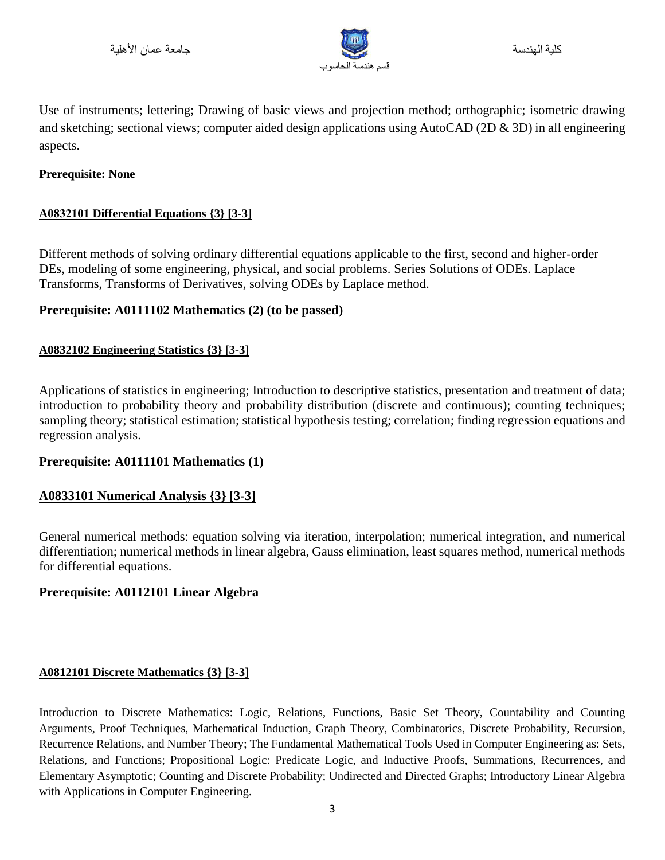

Use of instruments; lettering; Drawing of basic views and projection method; orthographic; isometric drawing and sketching; sectional views; computer aided design applications using AutoCAD (2D & 3D) in all engineering aspects.

# **Prerequisite: None**

# **A0832101 Differential Equations {3} [3-3**]

Different methods of solving ordinary differential equations applicable to the first, second and higher-order DEs, modeling of some engineering, physical, and social problems. Series Solutions of ODEs. Laplace Transforms, Transforms of Derivatives, solving ODEs by Laplace method.

# **Prerequisite: A0111102 Mathematics (2) (to be passed)**

# **A0832102 Engineering Statistics {3} [3-3]**

Applications of statistics in engineering; Introduction to descriptive statistics, presentation and treatment of data; introduction to probability theory and probability distribution (discrete and continuous); counting techniques; sampling theory; statistical estimation; statistical hypothesis testing; correlation; finding regression equations and regression analysis.

# **Prerequisite: A0111101 Mathematics (1)**

# **A0833101 Numerical Analysis {3} [3-3]**

General numerical methods: equation solving via iteration, interpolation; numerical integration, and numerical differentiation; numerical methods in linear algebra, Gauss elimination, least squares method, numerical methods for differential equations.

# **Prerequisite: A0112101 Linear Algebra**

# **A0812101 Discrete Mathematics {3} [3-3]**

Introduction to Discrete Mathematics: Logic, Relations, Functions, Basic Set Theory, Countability and Counting Arguments, Proof Techniques, Mathematical Induction, Graph Theory, Combinatorics, Discrete Probability, Recursion, Recurrence Relations, and Number Theory; The Fundamental Mathematical Tools Used in Computer Engineering as: Sets, Relations, and Functions; Propositional Logic: Predicate Logic, and Inductive Proofs, Summations, Recurrences, and Elementary Asymptotic; Counting and Discrete Probability; Undirected and Directed Graphs; Introductory Linear Algebra with Applications in Computer Engineering.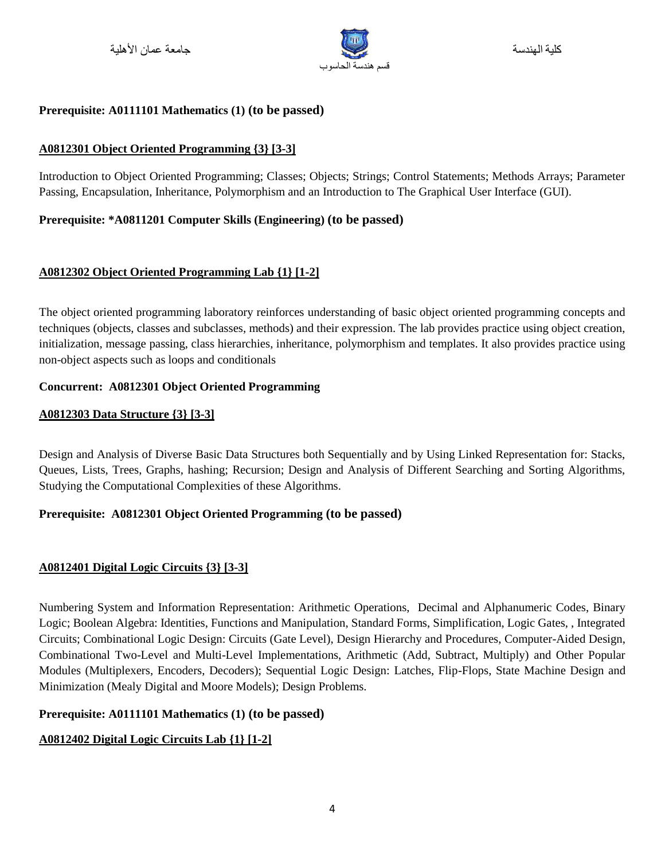

# **Prerequisite: A0111101 Mathematics (1) (to be passed)**

# **A0812301 Object Oriented Programming {3} [3-3]**

Introduction to Object Oriented Programming; Classes; Objects; Strings; Control Statements; Methods Arrays; Parameter Passing, Encapsulation, Inheritance, Polymorphism and an Introduction to The Graphical User Interface (GUI).

# **Prerequisite: \*A0811201 Computer Skills (Engineering) (to be passed)**

# **A0812302 Object Oriented Programming Lab {1} [1-2]**

The object oriented programming laboratory reinforces understanding of basic object oriented programming concepts and techniques (objects, classes and subclasses, methods) and their expression. The lab provides practice using object creation, initialization, message passing, class hierarchies, inheritance, polymorphism and templates. It also provides practice using non-object aspects such as loops and conditionals

### **Concurrent: A0812301 Object Oriented Programming**

# **A0812303 Data Structure {3} [3-3]**

Design and Analysis of Diverse Basic Data Structures both Sequentially and by Using Linked Representation for: Stacks, Queues, Lists, Trees, Graphs, hashing; Recursion; Design and Analysis of Different Searching and Sorting Algorithms, Studying the Computational Complexities of these Algorithms.

# **Prerequisite: A0812301 Object Oriented Programming (to be passed)**

# **A0812401 Digital Logic Circuits {3} [3-3]**

Numbering System and Information Representation: Arithmetic Operations, Decimal and Alphanumeric Codes, Binary Logic; Boolean Algebra: Identities, Functions and Manipulation, Standard Forms, Simplification, Logic Gates, , Integrated Circuits; Combinational Logic Design: Circuits (Gate Level), Design Hierarchy and Procedures, Computer-Aided Design, Combinational Two-Level and Multi-Level Implementations, Arithmetic (Add, Subtract, Multiply) and Other Popular Modules (Multiplexers, Encoders, Decoders); Sequential Logic Design: Latches, Flip-Flops, State Machine Design and Minimization (Mealy Digital and Moore Models); Design Problems.

# **Prerequisite: A0111101 Mathematics (1) (to be passed)**

# **A0812402 Digital Logic Circuits Lab {1} [1-2]**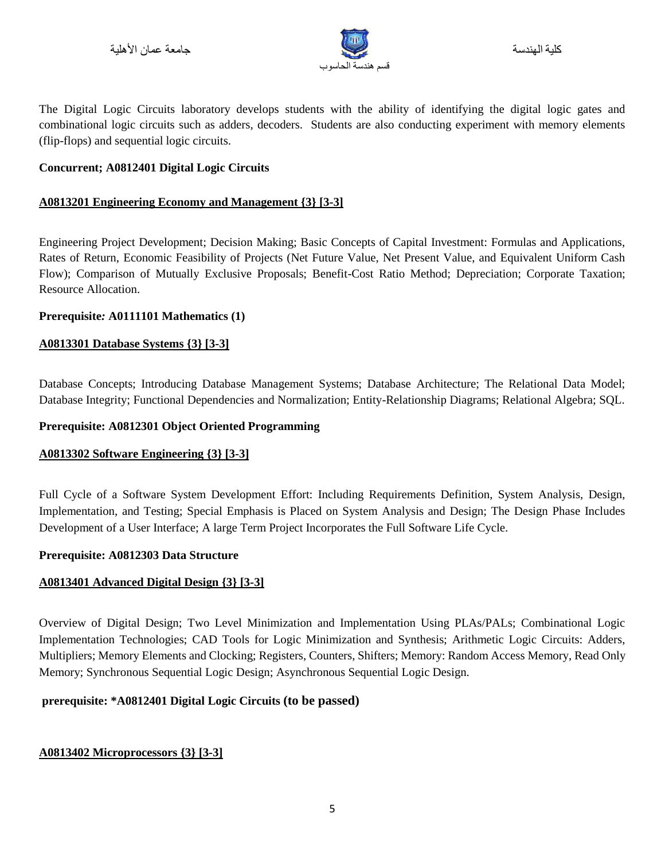

The Digital Logic Circuits laboratory develops students with the ability of identifying the digital logic gates and combinational logic circuits such as adders, decoders. Students are also conducting experiment with memory elements (flip-flops) and sequential logic circuits.

### **Concurrent; A0812401 Digital Logic Circuits**

### **A0813201 Engineering Economy and Management {3} [3-3]**

Engineering Project Development; Decision Making; Basic Concepts of Capital Investment: Formulas and Applications, Rates of Return, Economic Feasibility of Projects (Net Future Value, Net Present Value, and Equivalent Uniform Cash Flow); Comparison of Mutually Exclusive Proposals; Benefit-Cost Ratio Method; Depreciation; Corporate Taxation; Resource Allocation.

### **Prerequisite***:* **A0111101 Mathematics (1)**

# **A0813301 Database Systems {3} [3-3]**

Database Concepts; Introducing Database Management Systems; Database Architecture; The Relational Data Model; Database Integrity; Functional Dependencies and Normalization; Entity-Relationship Diagrams; Relational Algebra; SQL.

### **Prerequisite: A0812301 Object Oriented Programming**

# **A0813302 Software Engineering {3} [3-3]**

Full Cycle of a Software System Development Effort: Including Requirements Definition, System Analysis, Design, Implementation, and Testing; Special Emphasis is Placed on System Analysis and Design; The Design Phase Includes Development of a User Interface; A large Term Project Incorporates the Full Software Life Cycle.

#### **Prerequisite: A0812303 Data Structure**

# **A0813401 Advanced Digital Design {3} [3-3]**

Overview of Digital Design; Two Level Minimization and Implementation Using PLAs/PALs; Combinational Logic Implementation Technologies; CAD Tools for Logic Minimization and Synthesis; Arithmetic Logic Circuits: Adders, Multipliers; Memory Elements and Clocking; Registers, Counters, Shifters; Memory: Random Access Memory, Read Only Memory; Synchronous Sequential Logic Design; Asynchronous Sequential Logic Design.

# **prerequisite: \*A0812401 Digital Logic Circuits (to be passed)**

# **A0813402 Microprocessors {3} [3-3]**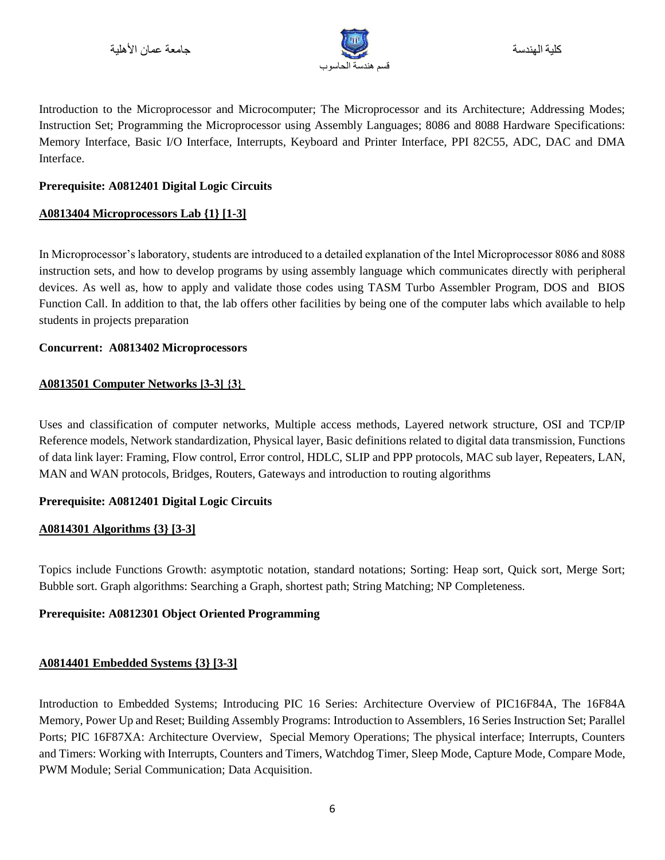

كلية الهندسة

Introduction to the Microprocessor and Microcomputer; The Microprocessor and its Architecture; Addressing Modes; Instruction Set; Programming the Microprocessor using Assembly Languages; 8086 and 8088 Hardware Specifications: Memory Interface, Basic I/O Interface, Interrupts, Keyboard and Printer Interface, PPI 82C55, ADC, DAC and DMA Interface.

### **Prerequisite: A0812401 Digital Logic Circuits**

### **A0813404 Microprocessors Lab {1} [1-3]**

In Microprocessor's laboratory, students are introduced to a detailed explanation of the Intel Microprocessor 8086 and 8088 instruction sets, and how to develop programs by using assembly language which communicates directly with peripheral devices. As well as, how to apply and validate those codes using TASM Turbo Assembler Program, DOS and BIOS Function Call. In addition to that, the lab offers other facilities by being one of the computer labs which available to help students in projects preparation

#### **Concurrent: A0813402 Microprocessors**

### **A0813501 Computer Networks ]3-3[ }3{**

Uses and classification of computer networks, Multiple access methods, Layered network structure, OSI and TCP/IP Reference models, Network standardization, Physical layer, Basic definitions related to digital data transmission, Functions of data link layer: Framing, Flow control, Error control, HDLC, SLIP and PPP protocols, MAC sub layer, Repeaters, LAN, MAN and WAN protocols, Bridges, Routers, Gateways and introduction to routing algorithms

# **Prerequisite: A0812401 Digital Logic Circuits**

#### **A0814301 Algorithms {3} [3-3]**

Topics include Functions Growth: asymptotic notation, standard notations; Sorting: Heap sort, Quick sort, Merge Sort; Bubble sort. Graph algorithms: Searching a Graph, shortest path; String Matching; NP Completeness.

#### **Prerequisite: A0812301 Object Oriented Programming**

# **A0814401 Embedded Systems {3} [3-3]**

Introduction to Embedded Systems; Introducing PIC 16 Series: Architecture Overview of PIC16F84A, The 16F84A Memory, Power Up and Reset; Building Assembly Programs: Introduction to Assemblers, 16 Series Instruction Set; Parallel Ports; PIC 16F87XA: Architecture Overview, Special Memory Operations; The physical interface; Interrupts, Counters and Timers: Working with Interrupts, Counters and Timers, Watchdog Timer, Sleep Mode, Capture Mode, Compare Mode, PWM Module; Serial Communication; Data Acquisition.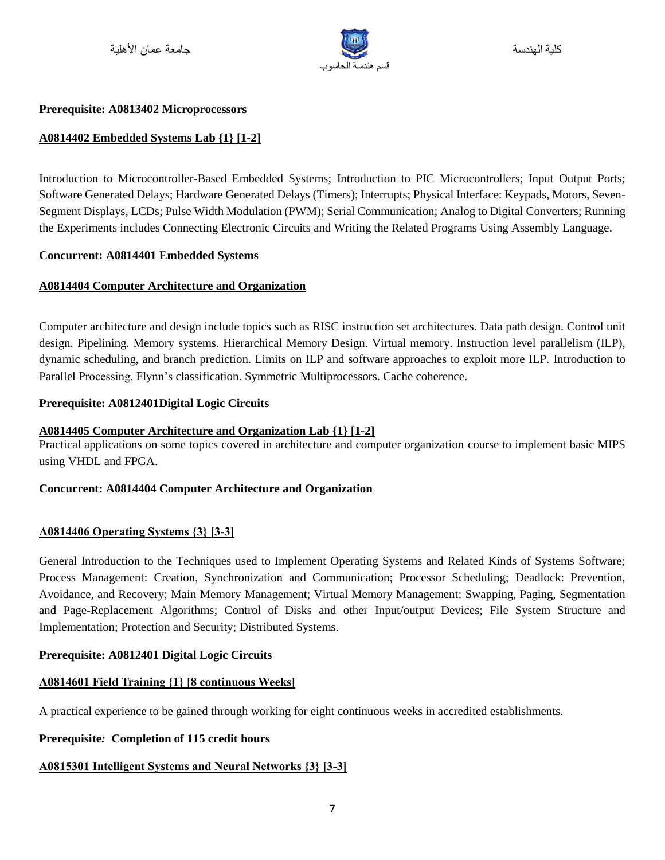

#### **Prerequisite: A0813402 Microprocessors**

### **A0814402 Embedded Systems Lab {1} [1-2]**

Introduction to Microcontroller-Based Embedded Systems; Introduction to PIC Microcontrollers; Input Output Ports; Software Generated Delays; Hardware Generated Delays (Timers); Interrupts; Physical Interface: Keypads, Motors, Seven-Segment Displays, LCDs; Pulse Width Modulation (PWM); Serial Communication; Analog to Digital Converters; Running the Experiments includes Connecting Electronic Circuits and Writing the Related Programs Using Assembly Language.

#### **Concurrent: A0814401 Embedded Systems**

#### **A0814404 Computer Architecture and Organization**

Computer architecture and design include topics such as RISC instruction set architectures. Data path design. Control unit design. Pipelining. Memory systems. Hierarchical Memory Design. Virtual memory. Instruction level parallelism (ILP), dynamic scheduling, and branch prediction. Limits on ILP and software approaches to exploit more ILP. Introduction to Parallel Processing. Flynn's classification. Symmetric Multiprocessors. Cache coherence.

#### **Prerequisite: A0812401Digital Logic Circuits**

### **A0814405 Computer Architecture and Organization Lab {1} [1-2]**

Practical applications on some topics covered in architecture and computer organization course to implement basic MIPS using VHDL and FPGA.

#### **Concurrent: A0814404 Computer Architecture and Organization**

#### **A0814406 Operating Systems {3} [3-3]**

General Introduction to the Techniques used to Implement Operating Systems and Related Kinds of Systems Software; Process Management: Creation, Synchronization and Communication; Processor Scheduling; Deadlock: Prevention, Avoidance, and Recovery; Main Memory Management; Virtual Memory Management: Swapping, Paging, Segmentation and Page-Replacement Algorithms; Control of Disks and other Input/output Devices; File System Structure and Implementation; Protection and Security; Distributed Systems.

#### **Prerequisite: A0812401 Digital Logic Circuits**

#### **A0814601 Field Training }1{ [8 continuous Weeks]**

A practical experience to be gained through working for eight continuous weeks in accredited establishments.

#### **Prerequisite***:* **Completion of 115 credit hours**

#### **A0815301 Intelligent Systems and Neural Networks {3} [3-3]**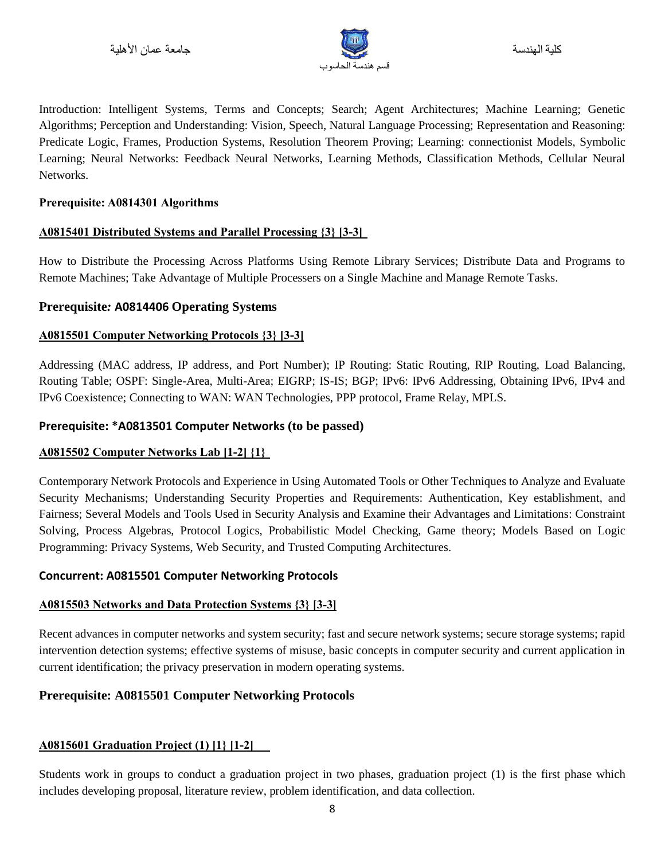

Introduction: Intelligent Systems, Terms and Concepts; Search; Agent Architectures; Machine Learning; Genetic Algorithms; Perception and Understanding: Vision, Speech, Natural Language Processing; Representation and Reasoning: Predicate Logic, Frames, Production Systems, Resolution Theorem Proving; Learning: connectionist Models, Symbolic Learning; Neural Networks: Feedback Neural Networks, Learning Methods, Classification Methods, Cellular Neural Networks.

### **Prerequisite: A0814301 Algorithms**

### **A0815401 Distributed Systems and Parallel Processing {3} [3-3]**

How to Distribute the Processing Across Platforms Using Remote Library Services; Distribute Data and Programs to Remote Machines; Take Advantage of Multiple Processers on a Single Machine and Manage Remote Tasks.

# **Prerequisite***:* **A0814406 Operating Systems**

### **A0815501 Computer Networking Protocols {3} [3-3]**

Addressing (MAC address, IP address, and Port Number); IP Routing: Static Routing, RIP Routing, Load Balancing, Routing Table; OSPF: Single-Area, Multi-Area; EIGRP; IS-IS; BGP; IPv6: IPv6 Addressing, Obtaining IPv6, IPv4 and IPv6 Coexistence; Connecting to WAN: WAN Technologies, PPP protocol, Frame Relay, MPLS.

### **Prerequisite: \*A0813501 Computer Networks (to be passed)**

#### **A0815502 Computer Networks Lab [1-2] {1}**

Contemporary Network Protocols and Experience in Using Automated Tools or Other Techniques to Analyze and Evaluate Security Mechanisms; Understanding Security Properties and Requirements: Authentication, Key establishment, and Fairness; Several Models and Tools Used in Security Analysis and Examine their Advantages and Limitations: Constraint Solving, Process Algebras, Protocol Logics, Probabilistic Model Checking, Game theory; Models Based on Logic Programming: Privacy Systems, Web Security, and Trusted Computing Architectures.

# **Concurrent: A0815501 Computer Networking Protocols**

# **A0815503 Networks and Data Protection Systems {3} [3-3]**

Recent advances in computer networks and system security; fast and secure network systems; secure storage systems; rapid intervention detection systems; effective systems of misuse, basic concepts in computer security and current application in current identification; the privacy preservation in modern operating systems.

# **Prerequisite: A0815501 Computer Networking Protocols**

# **A0815601 Graduation Project (1) [1} [1-2]**

Students work in groups to conduct a graduation project in two phases, graduation project (1) is the first phase which includes developing proposal, literature review, problem identification, and data collection.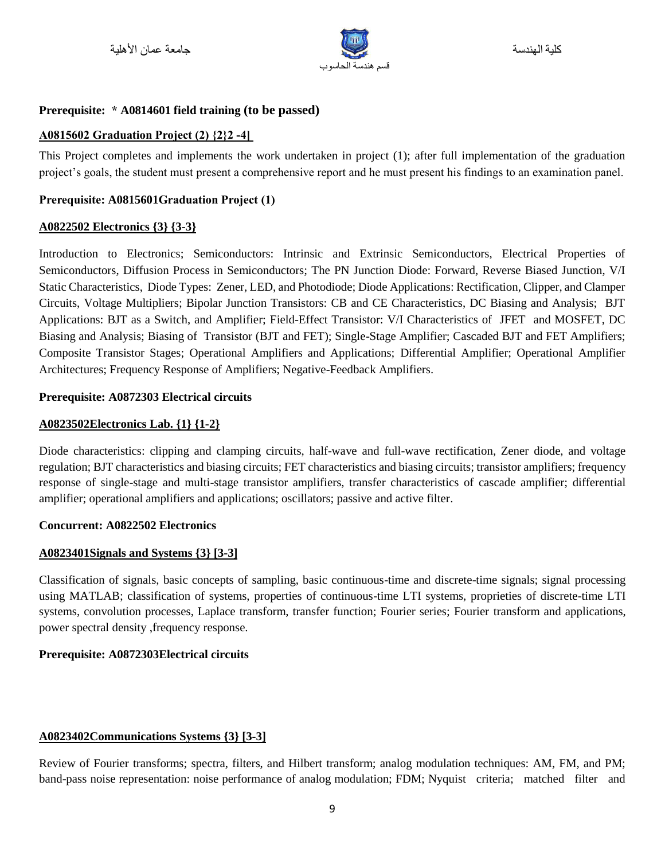

### **Prerequisite: \* A0814601 field training (to be passed)**

#### **A0815602 Graduation Project (2) {2}2 -4[**

This Project completes and implements the work undertaken in project (1); after full implementation of the graduation project's goals, the student must present a comprehensive report and he must present his findings to an examination panel.

### **Prerequisite: A0815601Graduation Project (1)**

### **A0822502 Electronics {3} {3-3}**

Introduction to Electronics; Semiconductors: Intrinsic and Extrinsic Semiconductors, Electrical Properties of Semiconductors, Diffusion Process in Semiconductors; The PN Junction Diode: Forward, Reverse Biased Junction, V/I Static Characteristics, Diode Types: Zener, LED, and Photodiode; Diode Applications: Rectification, Clipper, and Clamper Circuits, Voltage Multipliers; Bipolar Junction Transistors: CB and CE Characteristics, DC Biasing and Analysis; BJT Applications: BJT as a Switch, and Amplifier; Field-Effect Transistor: V/I Characteristics of JFET and MOSFET, DC Biasing and Analysis; Biasing of Transistor (BJT and FET); Single-Stage Amplifier; Cascaded BJT and FET Amplifiers; Composite Transistor Stages; Operational Amplifiers and Applications; Differential Amplifier; Operational Amplifier Architectures; Frequency Response of Amplifiers; Negative-Feedback Amplifiers.

#### **Prerequisite: A0872303 Electrical circuits**

#### **A0823502Electronics Lab. {1} {1-2}**

Diode characteristics: clipping and clamping circuits, half-wave and full-wave rectification, Zener diode, and voltage regulation; BJT characteristics and biasing circuits; FET characteristics and biasing circuits; transistor amplifiers; frequency response of single-stage and multi-stage transistor amplifiers, transfer characteristics of cascade amplifier; differential amplifier; operational amplifiers and applications; oscillators; passive and active filter.

#### **Concurrent: A0822502 Electronics**

#### **A0823401Signals and Systems {3} [3-3]**

Classification of signals, basic concepts of sampling, basic continuous-time and discrete-time signals; signal processing using MATLAB; classification of systems, properties of continuous-time LTI systems, proprieties of discrete-time LTI systems, convolution processes, Laplace transform, transfer function; Fourier series; Fourier transform and applications, power spectral density ,frequency response.

#### **Prerequisite: A0872303Electrical circuits**

#### **A0823402Communications Systems {3} [3-3]**

Review of Fourier transforms; spectra, filters, and Hilbert transform; analog modulation techniques: AM, FM, and PM; band-pass noise representation: noise performance of analog modulation; FDM; Nyquist criteria; matched filter and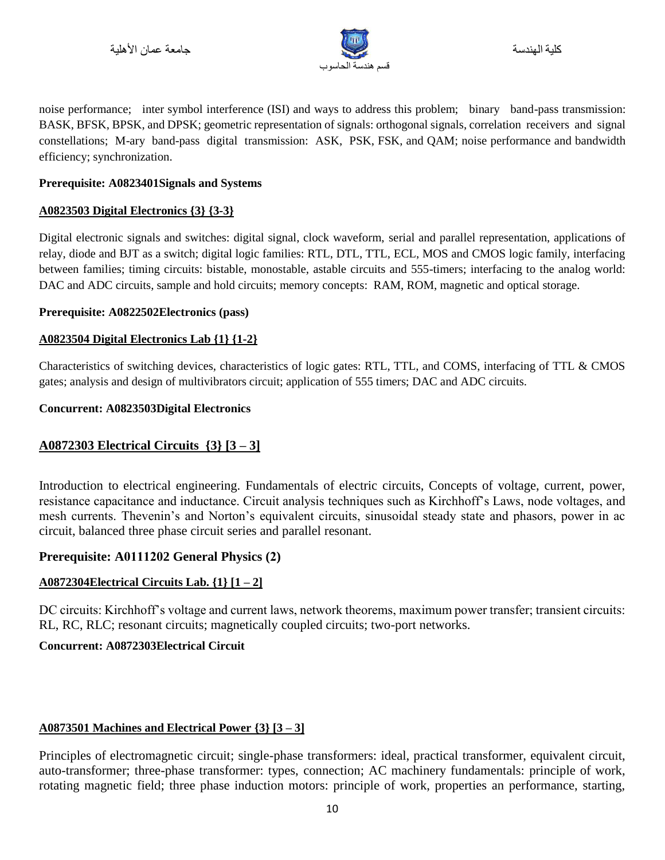

noise performance; inter symbol interference (ISI) and ways to address this problem; binary band-pass transmission: BASK, BFSK, BPSK, and DPSK; geometric representation of signals: orthogonal signals, correlation receivers and signal constellations; M-ary band-pass digital transmission: ASK, PSK, FSK, and QAM; noise performance and bandwidth efficiency; synchronization.

### **Prerequisite: A0823401Signals and Systems**

### **A0823503 Digital Electronics {3} {3-3}**

Digital electronic signals and switches: digital signal, clock waveform, serial and parallel representation, applications of relay, diode and BJT as a switch; digital logic families: RTL, DTL, TTL, ECL, MOS and CMOS logic family, interfacing between families; timing circuits: bistable, monostable, astable circuits and 555-timers; interfacing to the analog world: DAC and ADC circuits, sample and hold circuits; memory concepts: RAM, ROM, magnetic and optical storage.

#### **Prerequisite: A0822502Electronics (pass)**

### **A0823504 Digital Electronics Lab {1} {1-2}**

Characteristics of switching devices, characteristics of logic gates: RTL, TTL, and COMS, interfacing of TTL & CMOS gates; analysis and design of multivibrators circuit; application of 555 timers; DAC and ADC circuits.

### **Concurrent: A0823503Digital Electronics**

# **A0872303 Electrical Circuits {3} [3 – 3]**

Introduction to electrical engineering. Fundamentals of electric circuits, Concepts of voltage, current, power, resistance capacitance and inductance. Circuit analysis techniques such as Kirchhoff's Laws, node voltages, and mesh currents. Thevenin's and Norton's equivalent circuits, sinusoidal steady state and phasors, power in ac circuit, balanced three phase circuit series and parallel resonant.

# **Prerequisite: A0111202 General Physics (2)**

# **A0872304Electrical Circuits Lab. {1} [1 – 2]**

DC circuits: Kirchhoff's voltage and current laws, network theorems, maximum power transfer; transient circuits: RL, RC, RLC; resonant circuits; magnetically coupled circuits; two-port networks.

# **Concurrent: A0872303Electrical Circuit**

# **A0873501 Machines and Electrical Power {3} [3 – 3]**

Principles of electromagnetic circuit; single-phase transformers: ideal, practical transformer, equivalent circuit, auto-transformer; three-phase transformer: types, connection; AC machinery fundamentals: principle of work, rotating magnetic field; three phase induction motors: principle of work, properties an performance, starting,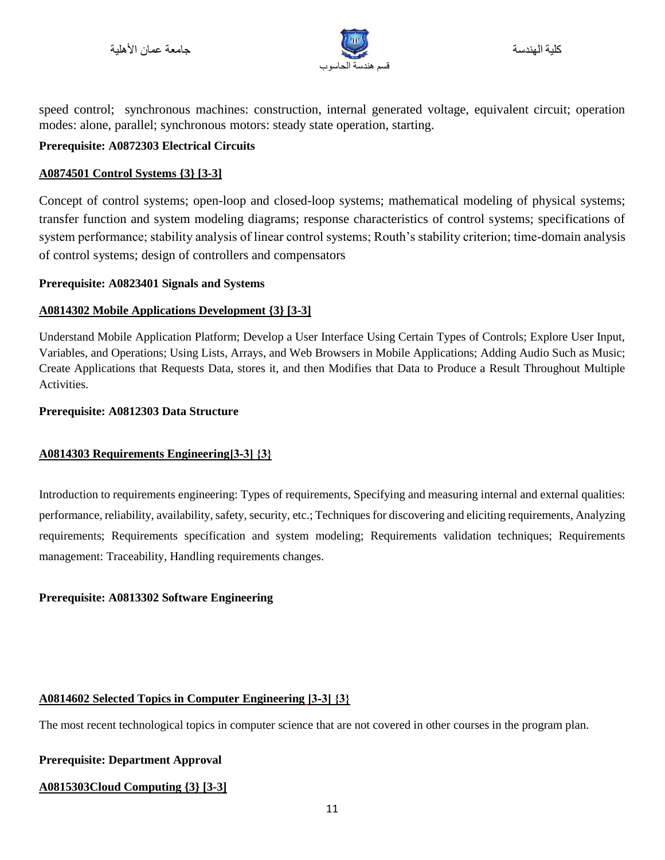

speed control; synchronous machines: construction, internal generated voltage, equivalent circuit; operation modes: alone, parallel; synchronous motors: steady state operation, starting.

### **Prerequisite: A0872303 Electrical Circuits**

# **A0874501 Control Systems {3} [3-3]**

Concept of control systems; open-loop and closed-loop systems; mathematical modeling of physical systems; transfer function and system modeling diagrams; response characteristics of control systems; specifications of system performance; stability analysis of linear control systems; Routh's stability criterion; time-domain analysis of control systems; design of controllers and compensators

### **Prerequisite: A0823401 Signals and Systems**

# **A0814302 Mobile Applications Development {3} [3-3]**

Understand Mobile Application Platform; Develop a User Interface Using Certain Types of Controls; Explore User Input, Variables, and Operations; Using Lists, Arrays, and Web Browsers in Mobile Applications; Adding Audio Such as Music; Create Applications that Requests Data, stores it, and then Modifies that Data to Produce a Result Throughout Multiple Activities.

#### **Prerequisite: A0812303 Data Structure**

# **A0814303 Requirements Engineering]3-3[ }3{**

Introduction to requirements engineering: Types of requirements, Specifying and measuring internal and external qualities: performance, reliability, availability, safety, security, etc.; Techniques for discovering and eliciting requirements, Analyzing requirements; Requirements specification and system modeling; Requirements validation techniques; Requirements management: Traceability, Handling requirements changes.

#### **Prerequisite: A0813302 Software Engineering**

# **A0814602 Selected Topics in Computer Engineering ]3-3[ }3{**

The most recent technological topics in computer science that are not covered in other courses in the program plan.

#### **Prerequisite: Department Approval**

# **A0815303Cloud Computing {3} [3-3]**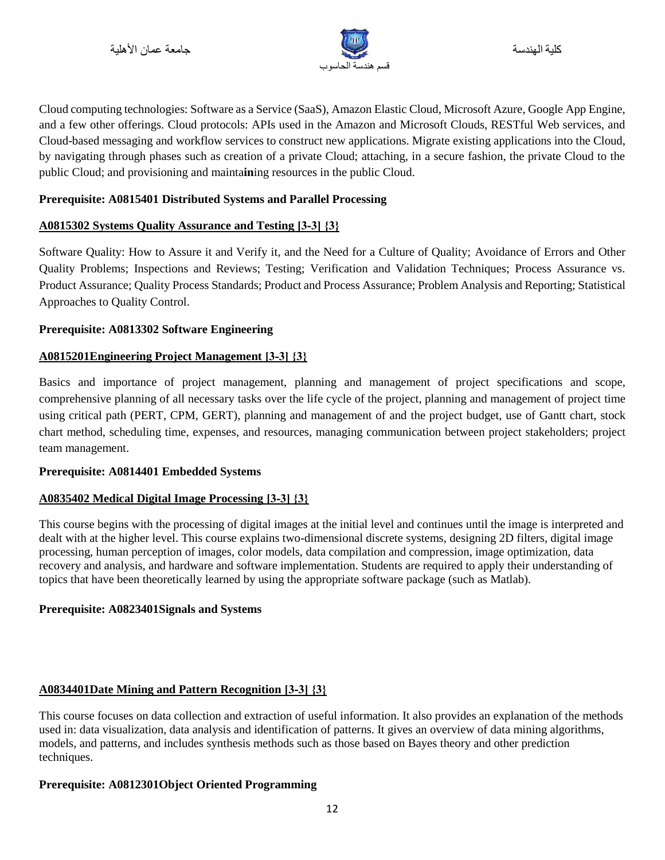

Cloud computing technologies: Software as a Service (SaaS), Amazon Elastic Cloud, Microsoft Azure, Google App Engine, and a few other offerings. Cloud protocols: APIs used in the Amazon and Microsoft Clouds, RESTful Web services, and Cloud-based messaging and workflow services to construct new applications. Migrate existing applications into the Cloud, by navigating through phases such as creation of a private Cloud; attaching, in a secure fashion, the private Cloud to the public Cloud; and provisioning and mainta**in**ing resources in the public Cloud.

# **Prerequisite: A0815401 Distributed Systems and Parallel Processing**

### **A0815302 Systems Quality Assurance and Testing ]3-3[ }3{**

Software Quality: How to Assure it and Verify it, and the Need for a Culture of Quality; Avoidance of Errors and Other Quality Problems; Inspections and Reviews; Testing; Verification and Validation Techniques; Process Assurance vs. Product Assurance; Quality Process Standards; Product and Process Assurance; Problem Analysis and Reporting; Statistical Approaches to Quality Control.

### **Prerequisite: A0813302 Software Engineering**

### **A0815201Engineering Project Management ]3-3[ }3{**

Basics and importance of project management, planning and management of project specifications and scope, comprehensive planning of all necessary tasks over the life cycle of the project, planning and management of project time using critical path (PERT, CPM, GERT), planning and management of and the project budget, use of Gantt chart, stock chart method, scheduling time, expenses, and resources, managing communication between project stakeholders; project team management.

#### **Prerequisite: A0814401 Embedded Systems**

#### **A0835402 Medical Digital Image Processing ]3-3[ }3{**

This course begins with the processing of digital images at the initial level and continues until the image is interpreted and dealt with at the higher level. This course explains two-dimensional discrete systems, designing 2D filters, digital image processing, human perception of images, color models, data compilation and compression, image optimization, data recovery and analysis, and hardware and software implementation. Students are required to apply their understanding of topics that have been theoretically learned by using the appropriate software package (such as Matlab).

#### **Prerequisite: A0823401Signals and Systems**

# **A0834401Date Mining and Pattern Recognition ]3-3[ }3{**

This course focuses on data collection and extraction of useful information. It also provides an explanation of the methods used in: data visualization, data analysis and identification of patterns. It gives an overview of data mining algorithms, models, and patterns, and includes synthesis methods such as those based on Bayes theory and other prediction techniques.

#### **Prerequisite: A0812301Object Oriented Programming**